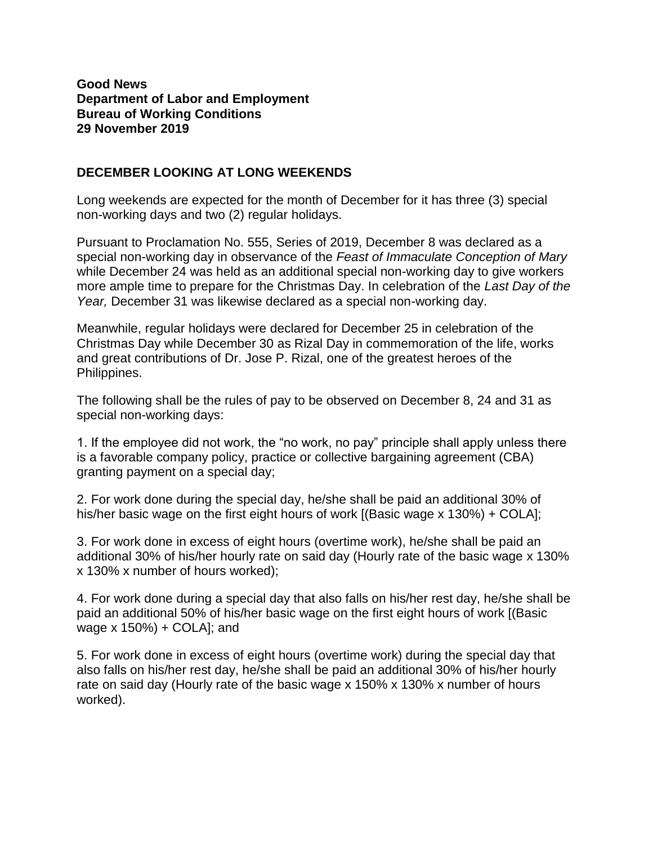## **Good News Department of Labor and Employment Bureau of Working Conditions 29 November 2019**

## **DECEMBER LOOKING AT LONG WEEKENDS**

Long weekends are expected for the month of December for it has three (3) special non-working days and two (2) regular holidays.

Pursuant to Proclamation No. 555, Series of 2019, December 8 was declared as a special non-working day in observance of the *Feast of Immaculate Conception of Mary* while December 24 was held as an additional special non-working day to give workers more ample time to prepare for the Christmas Day. In celebration of the *Last Day of the Year,* December 31 was likewise declared as a special non-working day.

Meanwhile, regular holidays were declared for December 25 in celebration of the Christmas Day while December 30 as Rizal Day in commemoration of the life, works and great contributions of Dr. Jose P. Rizal, one of the greatest heroes of the Philippines.

The following shall be the rules of pay to be observed on December 8, 24 and 31 as special non-working days:

1. If the employee did not work, the "no work, no pay" principle shall apply unless there is a favorable company policy, practice or collective bargaining agreement (CBA) granting payment on a special day;

2. For work done during the special day, he/she shall be paid an additional 30% of his/her basic wage on the first eight hours of work [(Basic wage x 130%) + COLA];

3. For work done in excess of eight hours (overtime work), he/she shall be paid an additional 30% of his/her hourly rate on said day (Hourly rate of the basic wage x 130% x 130% x number of hours worked);

4. For work done during a special day that also falls on his/her rest day, he/she shall be paid an additional 50% of his/her basic wage on the first eight hours of work [(Basic wage x 150%) + COLA]; and

5. For work done in excess of eight hours (overtime work) during the special day that also falls on his/her rest day, he/she shall be paid an additional 30% of his/her hourly rate on said day (Hourly rate of the basic wage x 150% x 130% x number of hours worked).